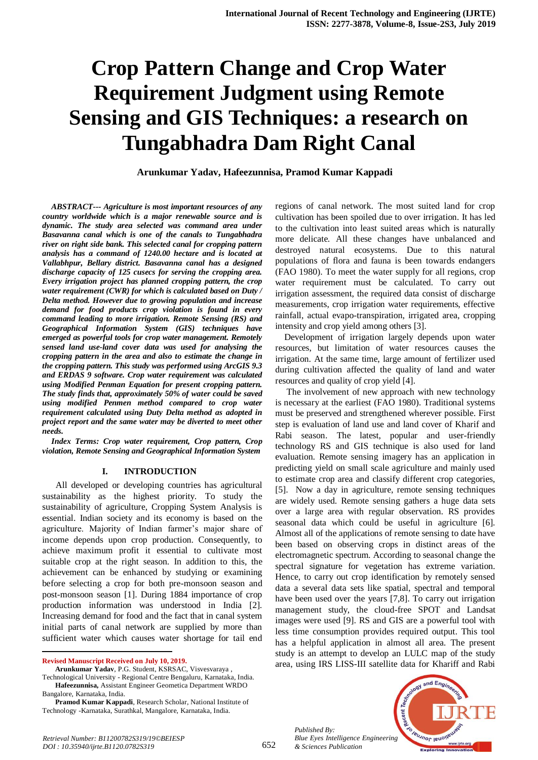# **Crop Pattern Change and Crop Water Requirement Judgment using Remote Sensing and GIS Techniques: a research on Tungabhadra Dam Right Canal**

**Arunkumar Yadav, Hafeezunnisa, Pramod Kumar Kappadi**

*ABSTRACT--- Agriculture is most important resources of any country worldwide which is a major renewable source and is dynamic. The study area selected was command area under Basavanna canal which is one of the canals to Tungabhadra river on right side bank. This selected canal for cropping pattern analysis has a command of 1240.00 hectare and is located at Vallabhpur, Bellary district. Basavanna canal has a designed discharge capacity of 125 cusecs for serving the cropping area. Every irrigation project has planned cropping pattern, the crop water requirement (CWR) for which is calculated based on Duty / Delta method. However due to growing population and increase demand for food products crop violation is found in every command leading to more irrigation. Remote Sensing (RS) and Geographical Information System (GIS) techniques have emerged as powerful tools for crop water management. Remotely sensed land use-land cover data was used for analysing the cropping pattern in the area and also to estimate the change in the cropping pattern. This study was performed using ArcGIS 9.3 and ERDAS 9 software. Crop water requirement was calculated using Modified Penman Equation for present cropping pattern. The study finds that, approximately 50% of water could be saved using modified Penmen method compared to crop water requirement calculated using Duty Delta method as adopted in project report and the same water may be diverted to meet other needs.*

*Index Terms: Crop water requirement, Crop pattern, Crop violation, Remote Sensing and Geographical Information System*

#### **I. INTRODUCTION**

 All developed or developing countries has agricultural sustainability as the highest priority. To study the sustainability of agriculture, Cropping System Analysis is essential. Indian society and its economy is based on the agriculture. Majority of Indian farmer's major share of income depends upon crop production. Consequently, to achieve maximum profit it essential to cultivate most suitable crop at the right season. In addition to this, the achievement can be enhanced by studying or examining before selecting a crop for both pre-monsoon season and post-monsoon season [1]. During 1884 importance of crop production information was understood in India [2]. Increasing demand for food and the fact that in canal system initial parts of canal network are supplied by more than sufficient water which causes water shortage for tail end

**Revised Manuscript Received on July 10, 2019.**

 $\overline{a}$ 

**Arunkumar Yadav**, P.G. Student, KSRSAC, Visvesvaraya , Technological University - Regional Centre Bengaluru, Karnataka, India.

**Hafeezunnisa,** Assistant Engineer Geometica Department WRDO Bangalore, Karnataka, India.

**Pramod Kumar Kappadi**, Research Scholar, National Institute of Technology -Karnataka, Surathkal, Mangalore, Karnataka, India.

regions of canal network. The most suited land for crop cultivation has been spoiled due to over irrigation. It has led to the cultivation into least suited areas which is naturally more delicate. All these changes have unbalanced and destroyed natural ecosystems. Due to this natural populations of flora and fauna is been towards endangers (FAO 1980). To meet the water supply for all regions, crop water requirement must be calculated. To carry out irrigation assessment, the required data consist of discharge measurements, crop irrigation water requirements, effective rainfall, actual evapo-transpiration, irrigated area, cropping intensity and crop yield among others [3].

Development of irrigation largely depends upon water resources, but limitation of water resources causes the irrigation. At the same time, large amount of fertilizer used during cultivation affected the quality of land and water resources and quality of crop yield [4].

The involvement of new approach with new technology is necessary at the earliest (FAO 1980). Traditional systems must be preserved and strengthened wherever possible. First step is evaluation of land use and land cover of Kharif and Rabi season. The latest, popular and user-friendly technology RS and GIS technique is also used for land evaluation. Remote sensing imagery has an application in predicting yield on small scale agriculture and mainly used to estimate crop area and classify different crop categories, [5]. Now a day in agriculture, remote sensing techniques are widely used. Remote sensing gathers a huge data sets over a large area with regular observation. RS provides seasonal data which could be useful in agriculture [6]. Almost all of the applications of remote sensing to date have been based on observing crops in distinct areas of the electromagnetic spectrum. According to seasonal change the spectral signature for vegetation has extreme variation. Hence, to carry out crop identification by remotely sensed data a several data sets like spatial, spectral and temporal have been used over the years [7,8]. To carry out irrigation management study, the cloud-free SPOT and Landsat images were used [9]. RS and GIS are a powerful tool with less time consumption provides required output. This tool has a helpful application in almost all area. The present study is an attempt to develop an LULC map of the study area, using IRS LISS-III satellite data for Khariff and Rabi

*Published By: Blue Eyes Intelligence Engineering & Sciences Publication* 

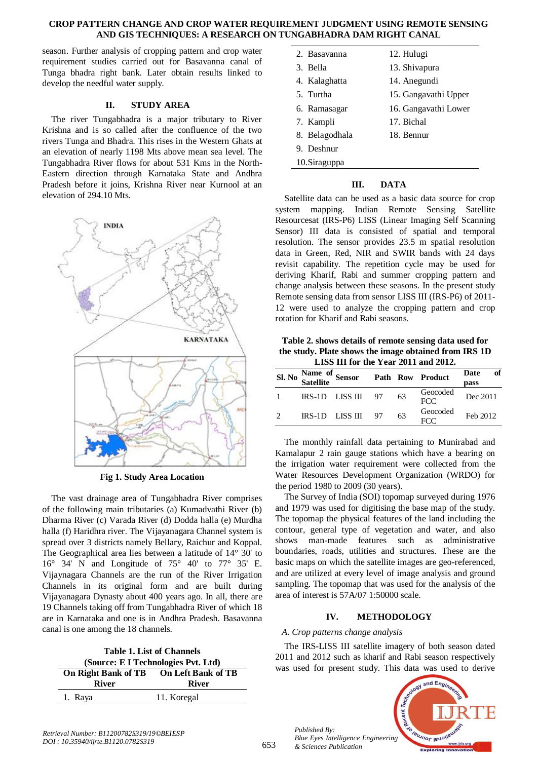#### **CROP PATTERN CHANGE AND CROP WATER REQUIREMENT JUDGMENT USING REMOTE SENSING AND GIS TECHNIQUES: A RESEARCH ON TUNGABHADRA DAM RIGHT CANAL**

season. Further analysis of cropping pattern and crop water requirement studies carried out for Basavanna canal of Tunga bhadra right bank. Later obtain results linked to develop the needful water supply.

# **II. STUDY AREA**

The river Tungabhadra is a major tributary to River Krishna and is so called after the confluence of the two rivers Tunga and Bhadra. This rises in the Western Ghats at an elevation of nearly 1198 Mts above mean sea level. The Tungabhadra River flows for about 531 Kms in the North-Eastern direction through Karnataka State and Andhra Pradesh before it joins, Krishna River near Kurnool at an elevation of 294.10 Mts.



**Fig 1. Study Area Location**

The vast drainage area of Tungabhadra River comprises of the following main tributaries (a) Kumadvathi River (b) Dharma River (c) Varada River (d) Dodda halla (e) Murdha halla (f) Haridhra river. The Vijayanagara Channel system is spread over 3 districts namely Bellary, Raichur and Koppal. The Geographical area lies between a latitude of 14° 30' to 16° 34' N and Longitude of 75° 40' to 77° 35' E. Vijaynagara Channels are the run of the River Irrigation Channels in its original form and are built during Vijayanagara Dynasty about 400 years ago. In all, there are 19 Channels taking off from Tungabhadra River of which 18 are in Karnataka and one is in Andhra Pradesh. Basavanna canal is one among the 18 channels.

| <b>Table 1. List of Channels</b>       |             |  |  |  |
|----------------------------------------|-------------|--|--|--|
| (Source: E I Technologies Pvt. Ltd)    |             |  |  |  |
| On Right Bank of TB On Left Bank of TB |             |  |  |  |
| <b>River</b><br><b>River</b>           |             |  |  |  |
| 1. Raya                                | 11. Koregal |  |  |  |
|                                        |             |  |  |  |

| 2. Basayanna   | 12. Hulugi           |
|----------------|----------------------|
| 3. Bella       | 13. Shivapura        |
| 4. Kalaghatta  | 14. Anegundi         |
| 5. Turtha      | 15. Gangavathi Upper |
| 6. Ramasagar   | 16. Gangavathi Lower |
| 7. Kampli      | 17. Bichal           |
| 8. Belagodhala | 18. Bennur           |
| 9. Deshnur     |                      |
| 10.Siraguppa   |                      |

# **III. DATA**

Satellite data can be used as a basic data source for crop system mapping. Indian Remote Sensing Satellite Resourcesat (IRS-P6) LISS (Linear Imaging Self Scanning Sensor) III data is consisted of spatial and temporal resolution. The sensor provides 23.5 m spatial resolution data in Green, Red, NIR and SWIR bands with 24 days revisit capability. The repetition cycle may be used for deriving Kharif, Rabi and summer cropping pattern and change analysis between these seasons. In the present study Remote sensing data from sensor LISS III (IRS-P6) of 2011- 12 were used to analyze the cropping pattern and crop rotation for Kharif and Rabi seasons.

**Table 2. shows details of remote sensing data used for the study. Plate shows the image obtained from IRS 1D LISS III for the Year 2011 and 2012.**

|               |  | Sl. No Satellite Sensor Path Row Product |  |    |                 | Date<br>pass | of |
|---------------|--|------------------------------------------|--|----|-----------------|--------------|----|
|               |  | $IRS-1D$ $LISS III$ 97                   |  | 63 | Geocoded<br>FCC | Dec 2011     |    |
| $\mathcal{D}$ |  | IRS-1D LISS III 97                       |  | 63 | Geocoded<br>FCC | Feb 2012     |    |

The monthly rainfall data pertaining to Munirabad and Kamalapur 2 rain gauge stations which have a bearing on the irrigation water requirement were collected from the Water Resources Development Organization (WRDO) for the period 1980 to 2009 (30 years).

The Survey of India (SOI) topomap surveyed during 1976 and 1979 was used for digitising the base map of the study. The topomap the physical features of the land including the contour, general type of vegetation and water, and also shows man-made features such as administrative boundaries, roads, utilities and structures. These are the basic maps on which the satellite images are geo-referenced, and are utilized at every level of image analysis and ground sampling. The topomap that was used for the analysis of the area of interest is 57A/07 1:50000 scale.

# **IV. METHODOLOGY**

## *A. Crop patterns change analysis*

*Published By:*

*& Sciences Publication* 

The IRS-LISS III satellite imagery of both season dated 2011 and 2012 such as kharif and Rabi season respectively was used for present study. This data was used to derive

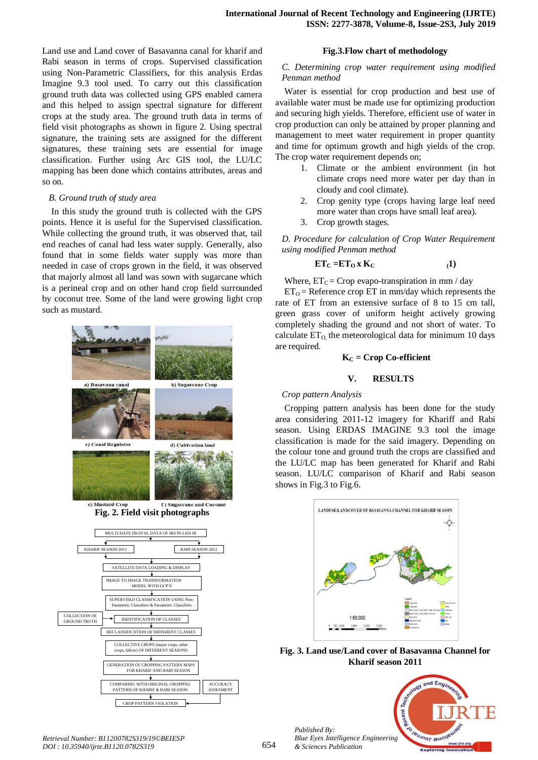Land use and Land cover of Basavanna canal for kharif and Rabi season in terms of crops. Supervised classification using Non-Parametric Classifiers, for this analysis Erdas Imagine 9.3 tool used. To carry out this classification ground truth data was collected using GPS enabled camera and this helped to assign spectral signature for different crops at the study area. The ground truth data in terms of field visit photographs as shown in figure 2. Using spectral signature, the training sets are assigned for the different signatures, these training sets are essential for image classification. Further using Arc GIS tool, the LU/LC mapping has been done which contains attributes, areas and so on.

#### *B. Ground truth of study area*

In this study the ground truth is collected with the GPS points. Hence it is useful for the Supervised classification. While collecting the ground truth, it was observed that, tail end reaches of canal had less water supply. Generally, also found that in some fields water supply was more than needed in case of crops grown in the field, it was observed that majorly almost all land was sown with sugarcane which is a perineal crop and on other hand crop field surrounded by coconut tree. Some of the land were growing light crop such as mustard.



#### **Fig.3.Flow chart of methodology**

# *C. Determining crop water requirement using modified Penman method*

Water is essential for crop production and best use of available water must be made use for optimizing production and securing high yields. Therefore, efficient use of water in crop production can only be attained by proper planning and management to meet water requirement in proper quantity and time for optimum growth and high yields of the crop. The crop water requirement depends on:

- 1. Climate or the ambient environment (in hot climate crops need more water per day than in cloudy and cool climate).
- 2. Crop genity type (crops having large leaf need more water than crops have small leaf area).
- 3. Crop growth stages.

*D. Procedure for calculation of Crop Water Requirement using modified Penman method*

$$
ET_C = TT_O \times K_C
$$
 (1)

Where,  $ET_C = Crop$  evapo-transpiration in mm / day

 $ET<sub>O</sub>$  = Reference crop ET in mm/day which represents the rate of ET from an extensive surface of 8 to 15 cm tall, green grass cover of uniform height actively growing completely shading the ground and not short of water. To calculate  $ET_0$ , the meteorological data for minimum 10 days are required.

# $K<sub>C</sub>$  = Crop Co-efficient

# **V. RESULTS**

# *Crop pattern Analysis*

Cropping pattern analysis has been done for the study area considering 2011-12 imagery for Khariff and Rabi season. Using ERDAS IMAGINE 9.3 tool the image classification is made for the said imagery. Depending on the colour tone and ground truth the crops are classified and the LU/LC map has been generated for Kharif and Rabi season. LU/LC comparison of Kharif and Rabi season shows in Fig.3 to Fig.6.



**Fig. 3. Land use/Land cover of Basavanna Channel for Kharif season 2011**



*Published By:*

*& Sciences Publication*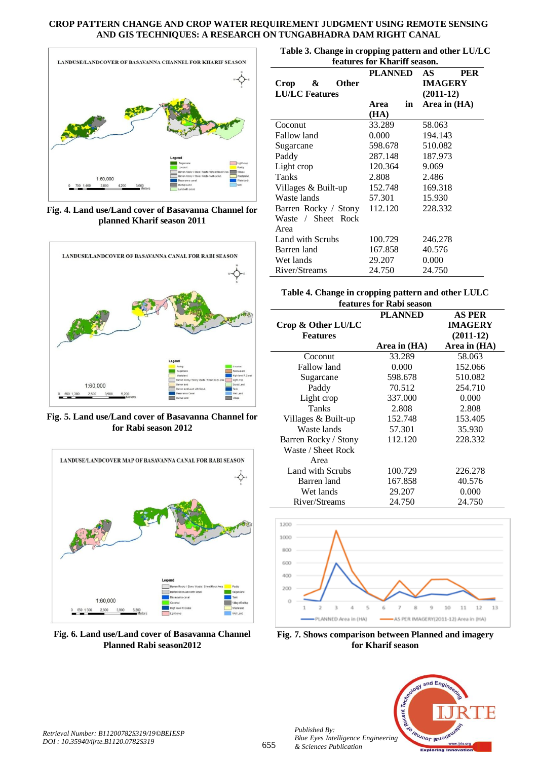### **CROP PATTERN CHANGE AND CROP WATER REQUIREMENT JUDGMENT USING REMOTE SENSING AND GIS TECHNIQUES: A RESEARCH ON TUNGABHADRA DAM RIGHT CANAL**



**Fig. 4. Land use/Land cover of Basavanna Channel for planned Kharif season 2011**



**Fig. 5. Land use/Land cover of Basavanna Channel for for Rabi season 2012**



**Fig. 6. Land use/Land cover of Basavanna Channel Planned Rabi season2012**

| Table 3. Change in cropping pattern and other LU/LC |  |
|-----------------------------------------------------|--|
| features for Khariff season                         |  |

| features for Khariff season. |                |                                    |  |  |  |
|------------------------------|----------------|------------------------------------|--|--|--|
| &<br>Crop<br>Other           | <b>PLANNED</b> | AS<br><b>PER</b><br><b>IMAGERY</b> |  |  |  |
| <b>LU/LC</b> Features        |                | $(2011-12)$                        |  |  |  |
|                              | Area<br>in     | Area in (HA)                       |  |  |  |
|                              |                |                                    |  |  |  |
|                              | (HA)           |                                    |  |  |  |
| Coconut                      | 33.289         | 58.063                             |  |  |  |
| Fallow land                  | 0.000          | 194.143                            |  |  |  |
| Sugarcane                    | 598.678        | 510.082                            |  |  |  |
| Paddy                        | 287.148        | 187.973                            |  |  |  |
| Light crop                   | 120.364        | 9.069                              |  |  |  |
| Tanks                        | 2.808          | 2.486                              |  |  |  |
| Villages & Built-up          | 152.748        | 169.318                            |  |  |  |
| Waste lands                  | 57.301         | 15.930                             |  |  |  |
| Barren Rocky / Stony         | 112.120        | 228.332                            |  |  |  |
| Waste / Sheet Rock           |                |                                    |  |  |  |
| Area                         |                |                                    |  |  |  |
| Land with Scrubs             | 100.729        | 246.278                            |  |  |  |
| Barren land                  | 167.858        | 40.576                             |  |  |  |
| Wet lands                    | 29.207         | 0.000                              |  |  |  |
| River/Streams                | 24.750         | 24.750                             |  |  |  |

# **Table 4. Change in cropping pattern and other LULC features for Rabi season**

|                      | <b>PLANNED</b> | AS PER         |
|----------------------|----------------|----------------|
| Crop & Other LU/LC   |                | <b>IMAGERY</b> |
| <b>Features</b>      |                | $(2011-12)$    |
|                      | Area in (HA)   | Area in (HA)   |
| Coconut              | 33.289         | 58.063         |
| Fallow land          | 0.000          | 152.066        |
| Sugarcane            | 598.678        | 510.082        |
| Paddy                | 70.512         | 254.710        |
| Light crop           | 337.000        | 0.000          |
| Tanks                | 2.808          | 2.808          |
| Villages & Built-up  | 152.748        | 153.405        |
| Waste lands          | 57.301         | 35.930         |
| Barren Rocky / Stony | 112.120        | 228.332        |
| Waste / Sheet Rock   |                |                |
| Area                 |                |                |
| Land with Scrubs     | 100.729        | 226.278        |
| Barren land          | 167.858        | 40.576         |
| Wet lands            | 29.207         | 0.000          |
| River/Streams        | 24.750         | 24.750         |



**Fig. 7. Shows comparison between Planned and imagery for Kharif season**



*Published By:*

*& Sciences Publication*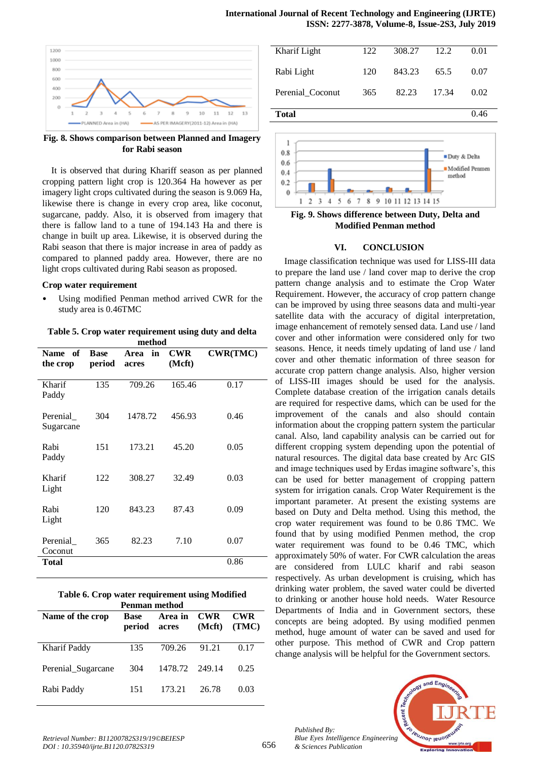

**Fig. 8. Shows comparison between Planned and Imagery for Rabi season**

It is observed that during Khariff season as per planned cropping pattern light crop is 120.364 Ha however as per imagery light crops cultivated during the season is 9.069 Ha, likewise there is change in every crop area, like coconut, sugarcane, paddy. Also, it is observed from imagery that there is fallow land to a tune of 194.143 Ha and there is change in built up area. Likewise, it is observed during the Rabi season that there is major increase in area of paddy as compared to planned paddy area. However, there are no light crops cultivated during Rabi season as proposed.

#### **Crop water requirement**

Using modified Penman method arrived CWR for the study area is 0.46TMC

**Table 5. Crop water requirement using duty and delta method**

| of<br><b>Name</b><br>the crop | <b>Base</b><br>period | in<br>Area<br>acres | <b>CWR</b><br>(Mcft) | <b>CWR(TMC)</b> |
|-------------------------------|-----------------------|---------------------|----------------------|-----------------|
| Kharif<br>Paddy               | 135                   | 709.26              | 165.46               | 0.17            |
| Perenial<br>Sugarcane         | 304                   | 1478.72             | 456.93               | 0.46            |
| Rabi<br>Paddy                 | 151                   | 173.21              | 45.20                | 0.05            |
| Kharif<br>Light               | 122                   | 308.27              | 32.49                | 0.03            |
| Rabi<br>Light                 | 120                   | 843.23              | 87.43                | 0.09            |
| Perenial<br>Coconut           | 365                   | 82.23               | 7.10                 | 0.07            |
| <b>Total</b>                  |                       |                     |                      | 0.86            |

| Table 6. Crop water requirement using Modified |
|------------------------------------------------|
| Penman method                                  |

| Name of the crop   | <b>Base</b><br>period | Area in<br>acres | <b>CWR</b><br>(Mcft) | <b>CWR</b><br>(TMC) |
|--------------------|-----------------------|------------------|----------------------|---------------------|
| Kharif Paddy       | 135                   | 709.26           | 91.21                | 0.17                |
| Perenial_Sugarcane | 304                   | 1478.72          | 249.14               | 0.25                |
| Rabi Paddy         | 151                   | 173.21           | 26.78                | 0.03                |

| Kharif Light     | 122 | 308.27 | 12.2  | 0.01 |
|------------------|-----|--------|-------|------|
| Rabi Light       | 120 | 843.23 | 65.5  | 0.07 |
| Perenial_Coconut | 365 | 82.23  | 17.34 | 0.02 |
| Total            |     |        |       | 0.46 |



**Fig. 9. Shows difference between Duty, Delta and Modified Penman method**

#### **VI. CONCLUSION**

Image classification technique was used for LISS-III data to prepare the land use / land cover map to derive the crop pattern change analysis and to estimate the Crop Water Requirement. However, the accuracy of crop pattern change can be improved by using three seasons data and multi-year satellite data with the accuracy of digital interpretation, image enhancement of remotely sensed data. Land use / land cover and other information were considered only for two seasons. Hence, it needs timely updating of land use / land cover and other thematic information of three season for accurate crop pattern change analysis. Also, higher version of LISS-III images should be used for the analysis. Complete database creation of the irrigation canals details are required for respective dams, which can be used for the improvement of the canals and also should contain information about the cropping pattern system the particular canal. Also, land capability analysis can be carried out for different cropping system depending upon the potential of natural resources. The digital data base created by Arc GIS and image techniques used by Erdas imagine software's, this can be used for better management of cropping pattern system for irrigation canals. Crop Water Requirement is the important parameter. At present the existing systems are based on Duty and Delta method. Using this method, the crop water requirement was found to be 0.86 TMC. We found that by using modified Penmen method, the crop water requirement was found to be 0.46 TMC, which approximately 50% of water. For CWR calculation the areas are considered from LULC kharif and rabi season respectively. As urban development is cruising, which has drinking water problem, the saved water could be diverted to drinking or another house hold needs. Water Resource Departments of India and in Government sectors, these concepts are being adopted. By using modified penmen method, huge amount of water can be saved and used for other purpose. This method of CWR and Crop pattern change analysis will be helpful for the Government sectors.

*Published By: Blue Eyes Intelligence Engineering & Sciences Publication*